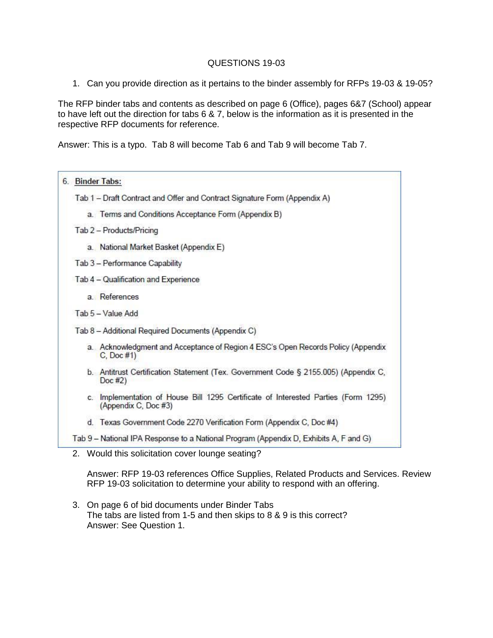## QUESTIONS 19-03

1. Can you provide direction as it pertains to the binder assembly for RFPs 19-03 & 19-05?

The RFP binder tabs and contents as described on page 6 (Office), pages 6&7 (School) appear to have left out the direction for tabs 6 & 7, below is the information as it is presented in the respective RFP documents for reference.

Answer: This is a typo. Tab 8 will become Tab 6 and Tab 9 will become Tab 7.



2. Would this solicitation cover lounge seating?

Answer: RFP 19-03 references Office Supplies, Related Products and Services. Review RFP 19-03 solicitation to determine your ability to respond with an offering.

3. On page 6 of bid documents under Binder Tabs The tabs are listed from 1-5 and then skips to 8 & 9 is this correct? Answer: See Question 1.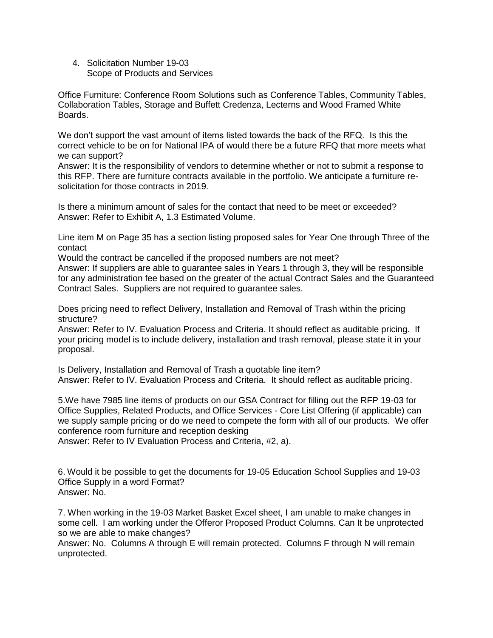4. Solicitation Number 19-03 Scope of Products and Services

Office Furniture: Conference Room Solutions such as Conference Tables, Community Tables, Collaboration Tables, Storage and Buffett Credenza, Lecterns and Wood Framed White Boards.

We don't support the vast amount of items listed towards the back of the RFQ. Is this the correct vehicle to be on for National IPA of would there be a future RFQ that more meets what we can support?

Answer: It is the responsibility of vendors to determine whether or not to submit a response to this RFP. There are furniture contracts available in the portfolio. We anticipate a furniture resolicitation for those contracts in 2019.

Is there a minimum amount of sales for the contact that need to be meet or exceeded? Answer: Refer to Exhibit A, 1.3 Estimated Volume.

Line item M on Page 35 has a section listing proposed sales for Year One through Three of the contact

Would the contract be cancelled if the proposed numbers are not meet?

Answer: If suppliers are able to guarantee sales in Years 1 through 3, they will be responsible for any administration fee based on the greater of the actual Contract Sales and the Guaranteed Contract Sales. Suppliers are not required to guarantee sales.

Does pricing need to reflect Delivery, Installation and Removal of Trash within the pricing structure?

Answer: Refer to IV. Evaluation Process and Criteria. It should reflect as auditable pricing. If your pricing model is to include delivery, installation and trash removal, please state it in your proposal.

Is Delivery, Installation and Removal of Trash a quotable line item? Answer: Refer to IV. Evaluation Process and Criteria. It should reflect as auditable pricing.

5.We have 7985 line items of products on our GSA Contract for filling out the RFP 19-03 for Office Supplies, Related Products, and Office Services - Core List Offering (if applicable) can we supply sample pricing or do we need to compete the form with all of our products. We offer conference room furniture and reception desking

Answer: Refer to IV Evaluation Process and Criteria, #2, a).

6. Would it be possible to get the documents for 19-05 Education School Supplies and 19-03 Office Supply in a word Format? Answer: No.

7. When working in the 19-03 Market Basket Excel sheet, I am unable to make changes in some cell. I am working under the Offeror Proposed Product Columns. Can It be unprotected so we are able to make changes?

Answer: No. Columns A through E will remain protected. Columns F through N will remain unprotected.